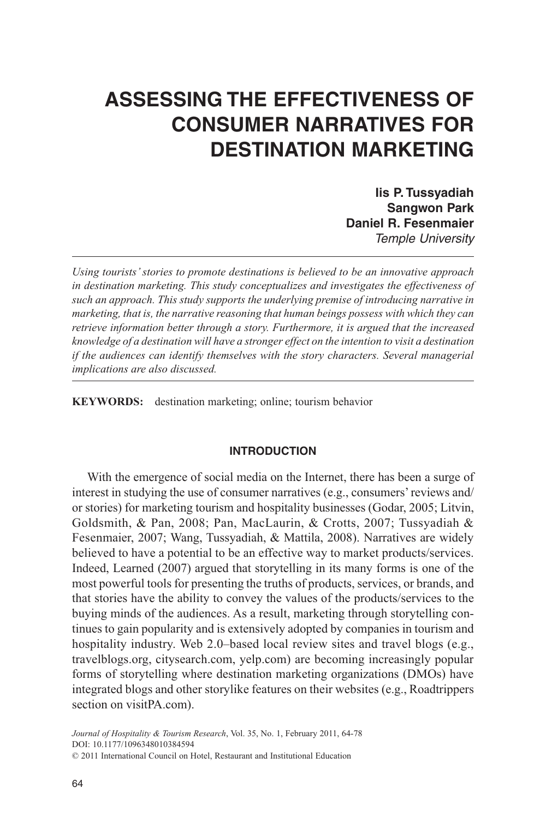# **ASSESSING THE EFFECTIVENESS OF CONSUMER NARRATIVES FOR DESTINATION MARKETING**

**Iis P. Tussyadiah Sangwon Park Daniel R. Fesenmaier** *Temple University*

*Using tourists' stories to promote destinations is believed to be an innovative approach in destination marketing. This study conceptualizes and investigates the effectiveness of such an approach. This study supports the underlying premise of introducing narrative in marketing, that is, the narrative reasoning that human beings possess with which they can retrieve information better through a story. Furthermore, it is argued that the increased knowledge of a destination will have a stronger effect on the intention to visit a destination if the audiences can identify themselves with the story characters. Several managerial implications are also discussed.*

**KEYWORDS:** destination marketing; online; tourism behavior

## **INTRODUCTION**

With the emergence of social media on the Internet, there has been a surge of interest in studying the use of consumer narratives (e.g., consumers' reviews and/ or stories) for marketing tourism and hospitality businesses (Godar, 2005; Litvin, Goldsmith, & Pan, 2008; Pan, MacLaurin, & Crotts, 2007; Tussyadiah & Fesenmaier, 2007; Wang, Tussyadiah, & Mattila, 2008). Narratives are widely believed to have a potential to be an effective way to market products/services. Indeed, Learned (2007) argued that storytelling in its many forms is one of the most powerful tools for presenting the truths of products, services, or brands, and that stories have the ability to convey the values of the products/services to the buying minds of the audiences. As a result, marketing through storytelling continues to gain popularity and is extensively adopted by companies in tourism and hospitality industry. Web 2.0–based local review sites and travel blogs (e.g., travelblogs.org, citysearch.com, yelp.com) are becoming increasingly popular forms of storytelling where destination marketing organizations (DMOs) have integrated blogs and other storylike features on their websites (e.g., Roadtrippers section on visitPA.com).

*Journal of Hospitality & Tourism Research*, Vol. 35, No. 1, February 2011, 64-78 DOI: 10.1177/1096348010384594

<sup>© 2011</sup> International Council on Hotel, Restaurant and Institutional Education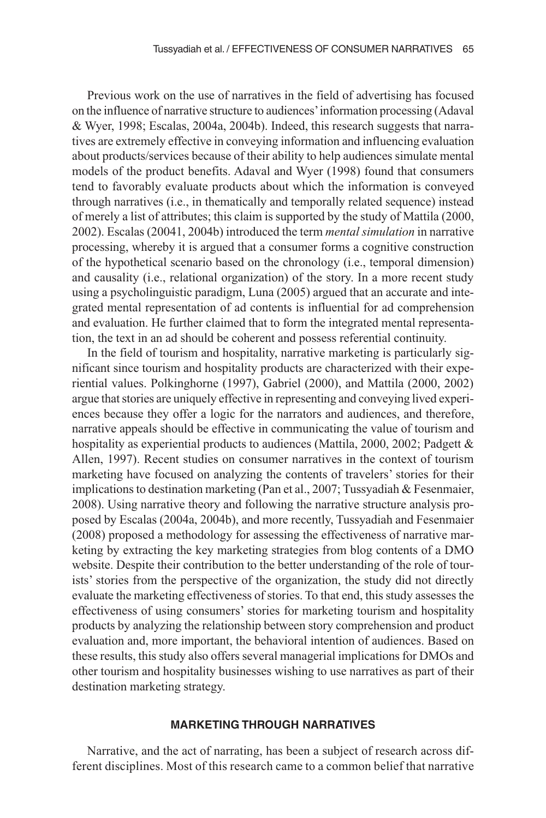Previous work on the use of narratives in the field of advertising has focused on the influence of narrative structure to audiences' information processing (Adaval & Wyer, 1998; Escalas, 2004a, 2004b). Indeed, this research suggests that narratives are extremely effective in conveying information and influencing evaluation about products/services because of their ability to help audiences simulate mental models of the product benefits. Adaval and Wyer (1998) found that consumers tend to favorably evaluate products about which the information is conveyed through narratives (i.e., in thematically and temporally related sequence) instead of merely a list of attributes; this claim is supported by the study of Mattila (2000, 2002). Escalas (20041, 2004b) introduced the term *mental simulation* in narrative processing, whereby it is argued that a consumer forms a cognitive construction of the hypothetical scenario based on the chronology (i.e., temporal dimension) and causality (i.e., relational organization) of the story. In a more recent study using a psycholinguistic paradigm, Luna (2005) argued that an accurate and integrated mental representation of ad contents is influential for ad comprehension and evaluation. He further claimed that to form the integrated mental representation, the text in an ad should be coherent and possess referential continuity.

In the field of tourism and hospitality, narrative marketing is particularly significant since tourism and hospitality products are characterized with their experiential values. Polkinghorne (1997), Gabriel (2000), and Mattila (2000, 2002) argue that stories are uniquely effective in representing and conveying lived experiences because they offer a logic for the narrators and audiences, and therefore, narrative appeals should be effective in communicating the value of tourism and hospitality as experiential products to audiences (Mattila, 2000, 2002; Padgett & Allen, 1997). Recent studies on consumer narratives in the context of tourism marketing have focused on analyzing the contents of travelers' stories for their implications to destination marketing (Pan et al., 2007; Tussyadiah & Fesenmaier, 2008). Using narrative theory and following the narrative structure analysis proposed by Escalas (2004a, 2004b), and more recently, Tussyadiah and Fesenmaier (2008) proposed a methodology for assessing the effectiveness of narrative marketing by extracting the key marketing strategies from blog contents of a DMO website. Despite their contribution to the better understanding of the role of tourists' stories from the perspective of the organization, the study did not directly evaluate the marketing effectiveness of stories. To that end, this study assesses the effectiveness of using consumers' stories for marketing tourism and hospitality products by analyzing the relationship between story comprehension and product evaluation and, more important, the behavioral intention of audiences. Based on these results, this study also offers several managerial implications for DMOs and other tourism and hospitality businesses wishing to use narratives as part of their destination marketing strategy.

#### **MARKETING THROUGH NARRATIVES**

Narrative, and the act of narrating, has been a subject of research across different disciplines. Most of this research came to a common belief that narrative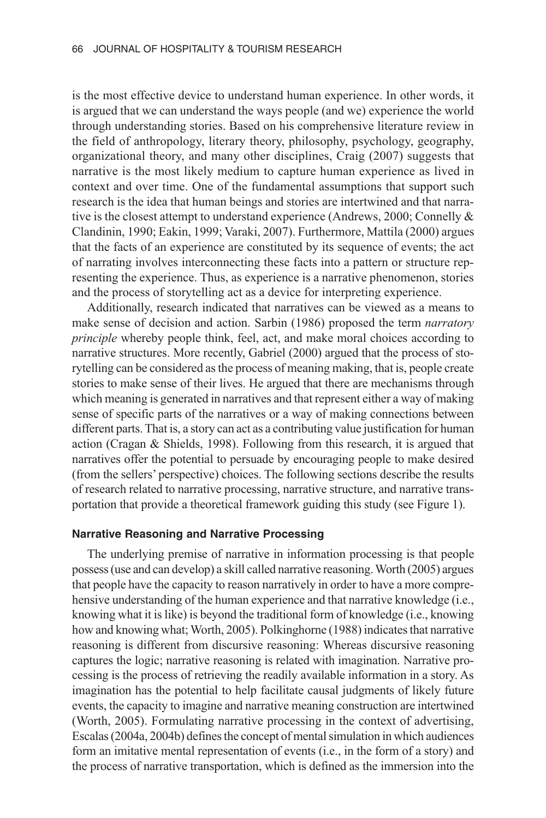is the most effective device to understand human experience. In other words, it is argued that we can understand the ways people (and we) experience the world through understanding stories. Based on his comprehensive literature review in the field of anthropology, literary theory, philosophy, psychology, geography, organizational theory, and many other disciplines, Craig (2007) suggests that narrative is the most likely medium to capture human experience as lived in context and over time. One of the fundamental assumptions that support such research is the idea that human beings and stories are intertwined and that narrative is the closest attempt to understand experience (Andrews, 2000; Connelly & Clandinin, 1990; Eakin, 1999; Varaki, 2007). Furthermore, Mattila (2000) argues that the facts of an experience are constituted by its sequence of events; the act of narrating involves interconnecting these facts into a pattern or structure representing the experience. Thus, as experience is a narrative phenomenon, stories and the process of storytelling act as a device for interpreting experience.

Additionally, research indicated that narratives can be viewed as a means to make sense of decision and action. Sarbin (1986) proposed the term *narratory principle* whereby people think, feel, act, and make moral choices according to narrative structures. More recently, Gabriel (2000) argued that the process of storytelling can be considered as the process of meaning making, that is, people create stories to make sense of their lives. He argued that there are mechanisms through which meaning is generated in narratives and that represent either a way of making sense of specific parts of the narratives or a way of making connections between different parts. That is, a story can act as a contributing value justification for human action (Cragan & Shields, 1998). Following from this research, it is argued that narratives offer the potential to persuade by encouraging people to make desired (from the sellers' perspective) choices. The following sections describe the results of research related to narrative processing, narrative structure, and narrative transportation that provide a theoretical framework guiding this study (see Figure 1).

#### **Narrative Reasoning and Narrative Processing**

The underlying premise of narrative in information processing is that people possess (use and can develop) a skill called narrative reasoning. Worth (2005) argues that people have the capacity to reason narratively in order to have a more comprehensive understanding of the human experience and that narrative knowledge (i.e., knowing what it is like) is beyond the traditional form of knowledge (i.e., knowing how and knowing what; Worth, 2005). Polkinghorne (1988) indicates that narrative reasoning is different from discursive reasoning: Whereas discursive reasoning captures the logic; narrative reasoning is related with imagination. Narrative processing is the process of retrieving the readily available information in a story. As imagination has the potential to help facilitate causal judgments of likely future events, the capacity to imagine and narrative meaning construction are intertwined (Worth, 2005). Formulating narrative processing in the context of advertising, Escalas (2004a, 2004b) defines the concept of mental simulation in which audiences form an imitative mental representation of events (i.e., in the form of a story) and the process of narrative transportation, which is defined as the immersion into the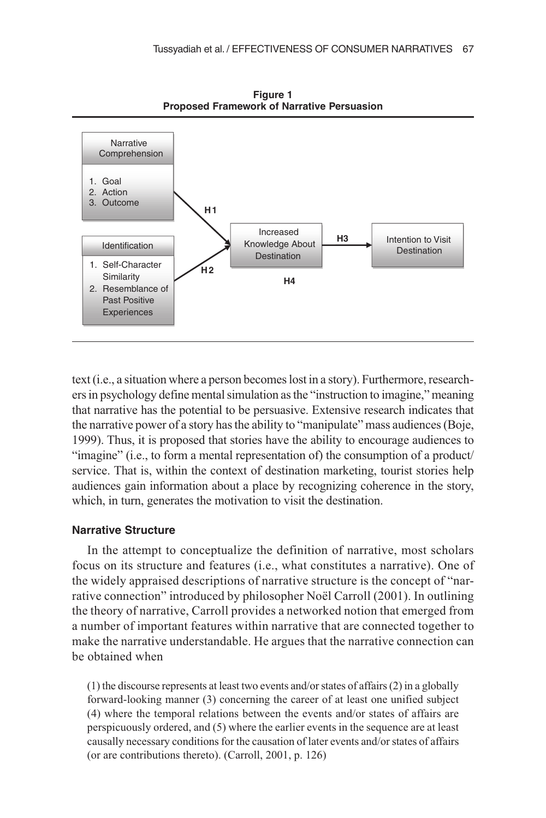

**Figure 1 Proposed Framework of Narrative Persuasion**

text (i.e., a situation where a person becomes lost in a story). Furthermore, researchers in psychology define mental simulation as the "instruction to imagine," meaning that narrative has the potential to be persuasive. Extensive research indicates that the narrative power of a story has the ability to "manipulate" mass audiences (Boje, 1999). Thus, it is proposed that stories have the ability to encourage audiences to "imagine" (i.e., to form a mental representation of) the consumption of a product/ service. That is, within the context of destination marketing, tourist stories help audiences gain information about a place by recognizing coherence in the story, which, in turn, generates the motivation to visit the destination.

#### **Narrative Structure**

In the attempt to conceptualize the definition of narrative, most scholars focus on its structure and features (i.e., what constitutes a narrative). One of the widely appraised descriptions of narrative structure is the concept of "narrative connection" introduced by philosopher Noël Carroll (2001). In outlining the theory of narrative, Carroll provides a networked notion that emerged from a number of important features within narrative that are connected together to make the narrative understandable. He argues that the narrative connection can be obtained when

(1) the discourse represents at least two events and/or states of affairs (2) in a globally forward-looking manner (3) concerning the career of at least one unified subject (4) where the temporal relations between the events and/or states of affairs are perspicuously ordered, and (5) where the earlier events in the sequence are at least causally necessary conditions for the causation of later events and/or states of affairs (or are contributions thereto). (Carroll, 2001, p. 126)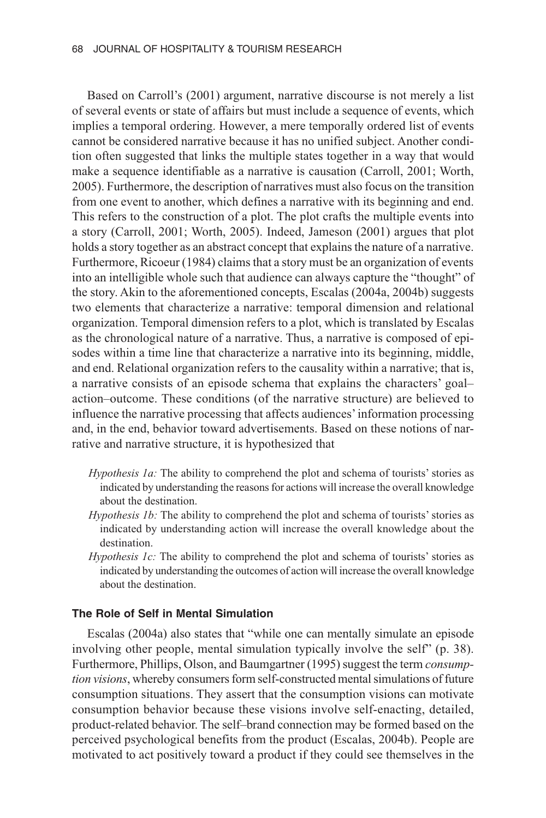Based on Carroll's (2001) argument, narrative discourse is not merely a list of several events or state of affairs but must include a sequence of events, which implies a temporal ordering. However, a mere temporally ordered list of events cannot be considered narrative because it has no unified subject. Another condition often suggested that links the multiple states together in a way that would make a sequence identifiable as a narrative is causation (Carroll, 2001; Worth, 2005). Furthermore, the description of narratives must also focus on the transition from one event to another, which defines a narrative with its beginning and end. This refers to the construction of a plot. The plot crafts the multiple events into a story (Carroll, 2001; Worth, 2005). Indeed, Jameson (2001) argues that plot holds a story together as an abstract concept that explains the nature of a narrative. Furthermore, Ricoeur (1984) claims that a story must be an organization of events into an intelligible whole such that audience can always capture the "thought" of the story. Akin to the aforementioned concepts, Escalas (2004a, 2004b) suggests two elements that characterize a narrative: temporal dimension and relational organization. Temporal dimension refers to a plot, which is translated by Escalas as the chronological nature of a narrative. Thus, a narrative is composed of episodes within a time line that characterize a narrative into its beginning, middle, and end. Relational organization refers to the causality within a narrative; that is, a narrative consists of an episode schema that explains the characters' goal– action–outcome. These conditions (of the narrative structure) are believed to influence the narrative processing that affects audiences' information processing and, in the end, behavior toward advertisements. Based on these notions of narrative and narrative structure, it is hypothesized that

- *Hypothesis 1a:* The ability to comprehend the plot and schema of tourists' stories as indicated by understanding the reasons for actions will increase the overall knowledge about the destination.
- *Hypothesis 1b:* The ability to comprehend the plot and schema of tourists' stories as indicated by understanding action will increase the overall knowledge about the destination.
- *Hypothesis 1c:* The ability to comprehend the plot and schema of tourists' stories as indicated by understanding the outcomes of action will increase the overall knowledge about the destination.

## **The Role of Self in Mental Simulation**

Escalas (2004a) also states that "while one can mentally simulate an episode involving other people, mental simulation typically involve the self" (p. 38). Furthermore, Phillips, Olson, and Baumgartner (1995) suggest the term *consumption visions*, whereby consumers form self-constructed mental simulations of future consumption situations. They assert that the consumption visions can motivate consumption behavior because these visions involve self-enacting, detailed, product-related behavior. The self–brand connection may be formed based on the perceived psychological benefits from the product (Escalas, 2004b). People are motivated to act positively toward a product if they could see themselves in the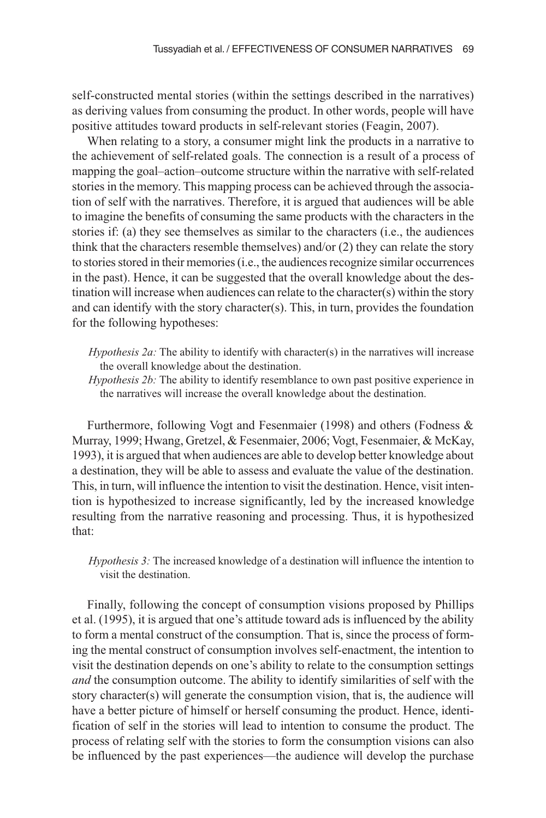self-constructed mental stories (within the settings described in the narratives) as deriving values from consuming the product. In other words, people will have positive attitudes toward products in self-relevant stories (Feagin, 2007).

When relating to a story, a consumer might link the products in a narrative to the achievement of self-related goals. The connection is a result of a process of mapping the goal–action–outcome structure within the narrative with self-related stories in the memory. This mapping process can be achieved through the association of self with the narratives. Therefore, it is argued that audiences will be able to imagine the benefits of consuming the same products with the characters in the stories if: (a) they see themselves as similar to the characters (i.e., the audiences think that the characters resemble themselves) and/or (2) they can relate the story to stories stored in their memories (i.e., the audiences recognize similar occurrences in the past). Hence, it can be suggested that the overall knowledge about the destination will increase when audiences can relate to the character(s) within the story and can identify with the story character(s). This, in turn, provides the foundation for the following hypotheses:

*Hypothesis 2a:* The ability to identify with character(s) in the narratives will increase the overall knowledge about the destination.

*Hypothesis 2b:* The ability to identify resemblance to own past positive experience in the narratives will increase the overall knowledge about the destination.

Furthermore, following Vogt and Fesenmaier (1998) and others (Fodness & Murray, 1999; Hwang, Gretzel, & Fesenmaier, 2006; Vogt, Fesenmaier, & McKay, 1993), it is argued that when audiences are able to develop better knowledge about a destination, they will be able to assess and evaluate the value of the destination. This, in turn, will influence the intention to visit the destination. Hence, visit intention is hypothesized to increase significantly, led by the increased knowledge resulting from the narrative reasoning and processing. Thus, it is hypothesized that:

*Hypothesis 3:* The increased knowledge of a destination will influence the intention to visit the destination.

Finally, following the concept of consumption visions proposed by Phillips et al. (1995), it is argued that one's attitude toward ads is influenced by the ability to form a mental construct of the consumption. That is, since the process of forming the mental construct of consumption involves self-enactment, the intention to visit the destination depends on one's ability to relate to the consumption settings *and* the consumption outcome. The ability to identify similarities of self with the story character(s) will generate the consumption vision, that is, the audience will have a better picture of himself or herself consuming the product. Hence, identification of self in the stories will lead to intention to consume the product. The process of relating self with the stories to form the consumption visions can also be influenced by the past experiences—the audience will develop the purchase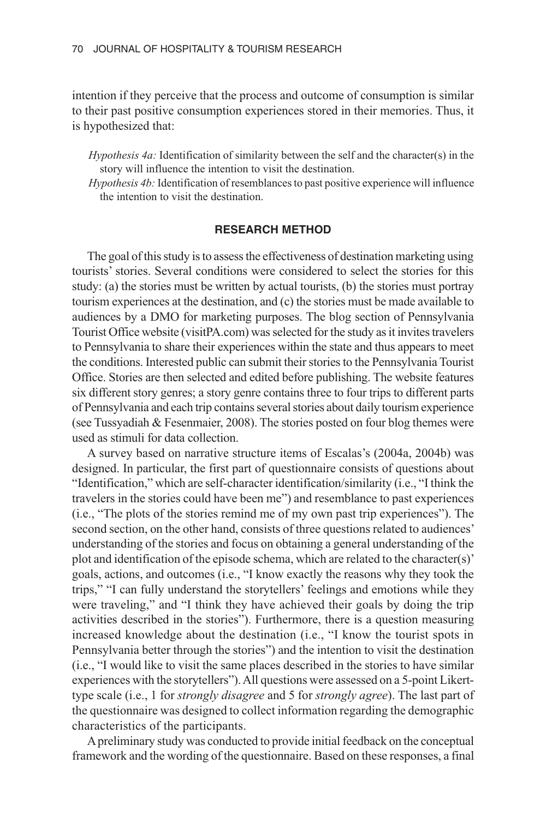intention if they perceive that the process and outcome of consumption is similar to their past positive consumption experiences stored in their memories. Thus, it is hypothesized that:

*Hypothesis 4a:* Identification of similarity between the self and the character(s) in the story will influence the intention to visit the destination.

*Hypothesis 4b:* Identification of resemblances to past positive experience will influence the intention to visit the destination.

## **RESEARCH METHOD**

The goal of this study is to assess the effectiveness of destination marketing using tourists' stories. Several conditions were considered to select the stories for this study: (a) the stories must be written by actual tourists, (b) the stories must portray tourism experiences at the destination, and (c) the stories must be made available to audiences by a DMO for marketing purposes. The blog section of Pennsylvania Tourist Office website (visitPA.com) was selected for the study as it invites travelers to Pennsylvania to share their experiences within the state and thus appears to meet the conditions. Interested public can submit their stories to the Pennsylvania Tourist Office. Stories are then selected and edited before publishing. The website features six different story genres; a story genre contains three to four trips to different parts of Pennsylvania and each trip contains several stories about daily tourism experience (see Tussyadiah & Fesenmaier, 2008). The stories posted on four blog themes were used as stimuli for data collection.

A survey based on narrative structure items of Escalas's (2004a, 2004b) was designed. In particular, the first part of questionnaire consists of questions about "Identification," which are self-character identification/similarity (i.e., "I think the travelers in the stories could have been me") and resemblance to past experiences (i.e., "The plots of the stories remind me of my own past trip experiences"). The second section, on the other hand, consists of three questions related to audiences' understanding of the stories and focus on obtaining a general understanding of the plot and identification of the episode schema, which are related to the character(s)' goals, actions, and outcomes (i.e., "I know exactly the reasons why they took the trips," "I can fully understand the storytellers' feelings and emotions while they were traveling," and "I think they have achieved their goals by doing the trip activities described in the stories"). Furthermore, there is a question measuring increased knowledge about the destination (i.e., "I know the tourist spots in Pennsylvania better through the stories") and the intention to visit the destination (i.e., "I would like to visit the same places described in the stories to have similar experiences with the storytellers"). All questions were assessed on a 5-point Likerttype scale (i.e., 1 for *strongly disagree* and 5 for *strongly agree*). The last part of the questionnaire was designed to collect information regarding the demographic characteristics of the participants.

A preliminary study was conducted to provide initial feedback on the conceptual framework and the wording of the questionnaire. Based on these responses, a final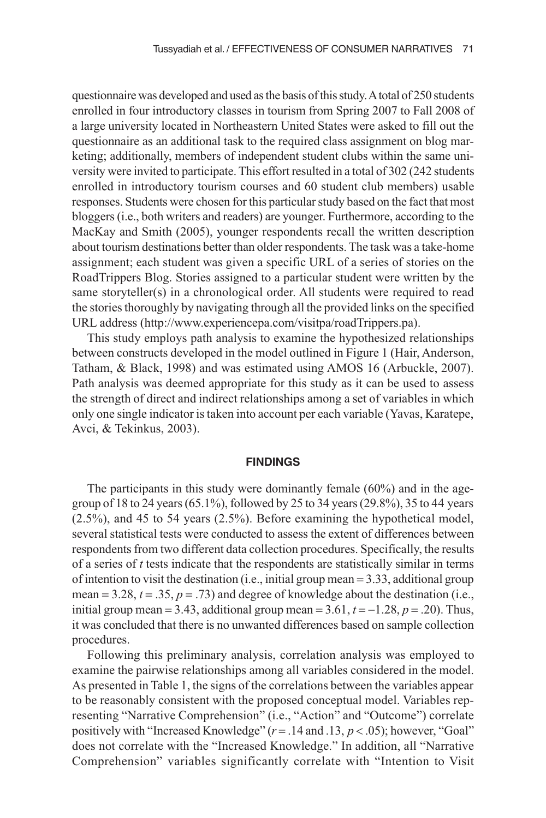questionnaire was developed and used as the basis of this study. A total of 250 students enrolled in four introductory classes in tourism from Spring 2007 to Fall 2008 of a large university located in Northeastern United States were asked to fill out the questionnaire as an additional task to the required class assignment on blog marketing; additionally, members of independent student clubs within the same university were invited to participate. This effort resulted in a total of 302 (242 students enrolled in introductory tourism courses and 60 student club members) usable responses. Students were chosen for this particular study based on the fact that most bloggers (i.e., both writers and readers) are younger. Furthermore, according to the MacKay and Smith (2005), younger respondents recall the written description about tourism destinations better than older respondents. The task was a take-home assignment; each student was given a specific URL of a series of stories on the RoadTrippers Blog. Stories assigned to a particular student were written by the same storyteller(s) in a chronological order. All students were required to read the stories thoroughly by navigating through all the provided links on the specified URL address (http://www.experiencepa.com/visitpa/roadTrippers.pa).

This study employs path analysis to examine the hypothesized relationships between constructs developed in the model outlined in Figure 1 (Hair, Anderson, Tatham, & Black, 1998) and was estimated using AMOS 16 (Arbuckle, 2007). Path analysis was deemed appropriate for this study as it can be used to assess the strength of direct and indirect relationships among a set of variables in which only one single indicator is taken into account per each variable (Yavas, Karatepe, Avci, & Tekinkus, 2003).

#### **FINDINGS**

The participants in this study were dominantly female (60%) and in the agegroup of 18 to 24 years (65.1%), followed by 25 to 34 years (29.8%), 35 to 44 years (2.5%), and 45 to 54 years (2.5%). Before examining the hypothetical model, several statistical tests were conducted to assess the extent of differences between respondents from two different data collection procedures. Specifically, the results of a series of *t* tests indicate that the respondents are statistically similar in terms of intention to visit the destination (i.e., initial group mean = 3.33, additional group mean  $= 3.28$ ,  $t = .35$ ,  $p = .73$ ) and degree of knowledge about the destination (i.e., initial group mean = 3.43, additional group mean =  $3.61$ ,  $t = -1.28$ ,  $p = .20$ ). Thus, it was concluded that there is no unwanted differences based on sample collection procedures.

Following this preliminary analysis, correlation analysis was employed to examine the pairwise relationships among all variables considered in the model. As presented in Table 1, the signs of the correlations between the variables appear to be reasonably consistent with the proposed conceptual model. Variables representing "Narrative Comprehension" (i.e., "Action" and "Outcome") correlate positively with "Increased Knowledge" (*r* = .14 and .13, *p* < .05); however, "Goal" does not correlate with the "Increased Knowledge." In addition, all "Narrative Comprehension" variables significantly correlate with "Intention to Visit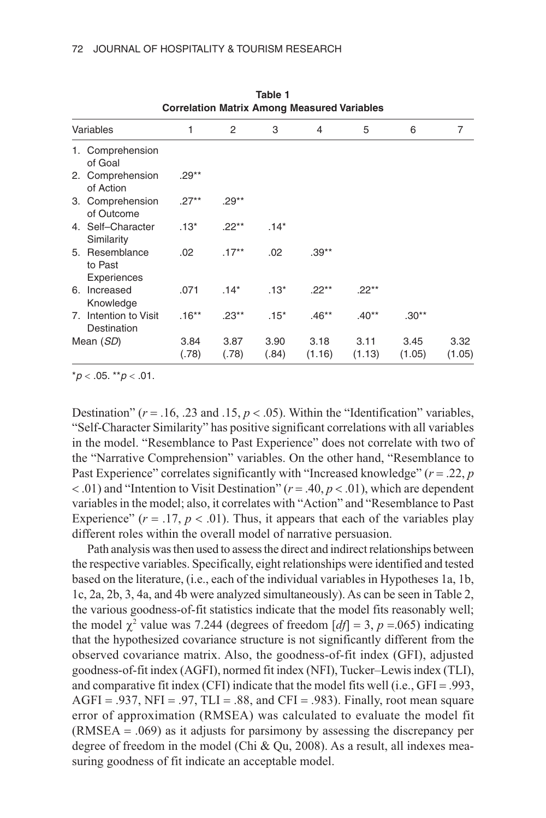| Correlation Matrix Among Measured Variables |                                          |               |               |               |                |                |                |                |  |  |
|---------------------------------------------|------------------------------------------|---------------|---------------|---------------|----------------|----------------|----------------|----------------|--|--|
| Variables                                   |                                          | 1             | 2             | 3             | 4              | 5              | 6              | 7              |  |  |
|                                             | 1. Comprehension<br>of Goal              |               |               |               |                |                |                |                |  |  |
|                                             | 2. Comprehension<br>of Action            | $.29**$       |               |               |                |                |                |                |  |  |
|                                             | 3. Comprehension<br>of Outcome           | $.27**$       | $.29**$       |               |                |                |                |                |  |  |
|                                             | 4. Self-Character<br>Similarity          | $.13*$        | $.22**$       | $.14*$        |                |                |                |                |  |  |
|                                             | 5. Resemblance<br>to Past<br>Experiences | .02           | $.17***$      | .02           | $.39***$       |                |                |                |  |  |
|                                             | 6. Increased<br>Knowledge                | .071          | $.14*$        | $.13*$        | $.22***$       | $.22***$       |                |                |  |  |
|                                             | 7. Intention to Visit<br>Destination     | $.16**$       | $.23**$       | $.15*$        | $.46**$        | $.40**$        | $.30**$        |                |  |  |
| Mean (SD)                                   |                                          | 3.84<br>(.78) | 3.87<br>(.78) | 3.90<br>(.84) | 3.18<br>(1.16) | 3.11<br>(1.13) | 3.45<br>(1.05) | 3.32<br>(1.05) |  |  |

**Table 1 Correlation Matrix Among Measured Variables**

\**p* < .05. \*\**p* < .01.

Destination" ( $r = .16, .23$  and  $.15, p < .05$ ). Within the "Identification" variables, "Self-Character Similarity" has positive significant correlations with all variables in the model. "Resemblance to Past Experience" does not correlate with two of the "Narrative Comprehension" variables. On the other hand, "Resemblance to Past Experience" correlates significantly with "Increased knowledge" (*r* = .22, *p* < .01) and "Intention to Visit Destination" (*r* = .40, *p* < .01), which are dependent variables in the model; also, it correlates with "Action" and "Resemblance to Past Experience"  $(r = .17, p < .01)$ . Thus, it appears that each of the variables play different roles within the overall model of narrative persuasion.

Path analysis was then used to assess the direct and indirect relationships between the respective variables. Specifically, eight relationships were identified and tested based on the literature, (i.e., each of the individual variables in Hypotheses 1a, 1b, 1c, 2a, 2b, 3, 4a, and 4b were analyzed simultaneously). As can be seen in Table 2, the various goodness-of-fit statistics indicate that the model fits reasonably well; the model  $\chi^2$  value was 7.244 (degrees of freedom  $[df] = 3$ ,  $p = .065$ ) indicating that the hypothesized covariance structure is not significantly different from the observed covariance matrix. Also, the goodness-of-fit index (GFI), adjusted goodness-of-fit index (AGFI), normed fit index (NFI), Tucker–Lewis index (TLI), and comparative fit index (CFI) indicate that the model fits well (i.e., GFI = .993,  $AGFI = .937$ ,  $NFI = .97$ ,  $TLI = .88$ , and  $CFI = .983$ ). Finally, root mean square error of approximation (RMSEA) was calculated to evaluate the model fit (RMSEA = .069) as it adjusts for parsimony by assessing the discrepancy per degree of freedom in the model (Chi & Qu, 2008). As a result, all indexes measuring goodness of fit indicate an acceptable model.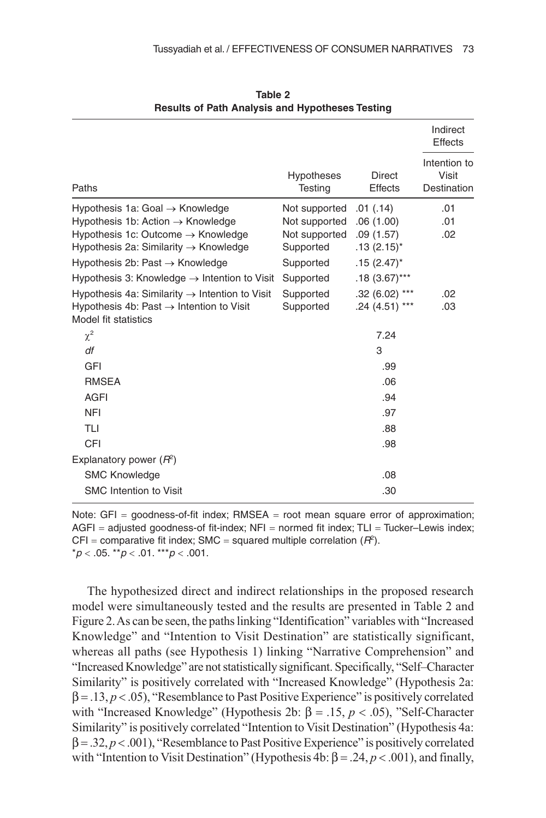|                                                                                                                                                                                                                                                                                                                                                                                                                                      |                                                                                                                  |                                                                                                                              | Indirect<br>Effects<br>Intention to<br>Visit<br>Destination |  |
|--------------------------------------------------------------------------------------------------------------------------------------------------------------------------------------------------------------------------------------------------------------------------------------------------------------------------------------------------------------------------------------------------------------------------------------|------------------------------------------------------------------------------------------------------------------|------------------------------------------------------------------------------------------------------------------------------|-------------------------------------------------------------|--|
| Paths                                                                                                                                                                                                                                                                                                                                                                                                                                | <b>Hypotheses</b><br>Testing                                                                                     | <b>Direct</b><br><b>Effects</b>                                                                                              |                                                             |  |
| Hypothesis 1a: Goal $\rightarrow$ Knowledge<br>Hypothesis 1b: Action $\rightarrow$ Knowledge<br>Hypothesis 1c: Outcome $\rightarrow$ Knowledge<br>Hypothesis 2a: Similarity $\rightarrow$ Knowledge<br>Hypothesis 2b: Past $\rightarrow$ Knowledge<br>Hypothesis 3: Knowledge $\rightarrow$ Intention to Visit<br>Hypothesis 4a: Similarity $\rightarrow$ Intention to Visit<br>Hypothesis 4b: Past $\rightarrow$ Intention to Visit | Not supported<br>Not supported<br>Not supported<br>Supported<br>Supported<br>Supported<br>Supported<br>Supported | .01( .14)<br>.06(1.00)<br>.09(1.57)<br>$.13(2.15)^*$<br>$.15(2.47)^*$<br>$.18(3.67)$ ***<br>$.32(6.02)$ ***<br>$.24(4.51***$ | .01<br>.01<br>.02<br>.02<br>.03                             |  |
| Model fit statistics<br>$\chi^2$<br>df<br><b>GFI</b><br><b>RMSEA</b><br><b>AGFI</b><br><b>NFI</b><br>TLI<br>CFI                                                                                                                                                                                                                                                                                                                      |                                                                                                                  | 7.24<br>3<br>.99<br>.06<br>.94<br>.97<br>.88<br>.98                                                                          |                                                             |  |
| Explanatory power $(R^2)$<br><b>SMC Knowledge</b><br><b>SMC</b> Intention to Visit                                                                                                                                                                                                                                                                                                                                                   |                                                                                                                  | .08<br>.30                                                                                                                   |                                                             |  |

**Table 2 Results of Path Analysis and Hypotheses Testing**

Note:  $GFI = goodness-of-fit index$ ; RMSEA = root mean square error of approximation;  $AGFI =$  adjusted goodness-of fit-index;  $NFI =$  normed fit index;  $TLI = Tucker–Lewis$  index; CFI = comparative fit index; SMC = squared multiple correlation  $(R^2)$ . \**p* < .05. \*\**p* < .01. \*\*\**p* < .001.

The hypothesized direct and indirect relationships in the proposed research model were simultaneously tested and the results are presented in Table 2 and Figure 2. As can be seen, the paths linking "Identification" variables with "Increased Knowledge" and "Intention to Visit Destination" are statistically significant, whereas all paths (see Hypothesis 1) linking "Narrative Comprehension" and "Increased Knowledge" are not statistically significant. Specifically, "Self–Character Similarity" is positively correlated with "Increased Knowledge" (Hypothesis 2a:  $\beta = .13, p < .05$ ), "Resemblance to Past Positive Experience" is positively correlated with "Increased Knowledge" (Hypothesis 2b: β = .15, *p* < .05), "Self-Character Similarity" is positively correlated "Intention to Visit Destination" (Hypothesis 4a: β = .32, *p* < .001), "Resemblance to Past Positive Experience" is positively correlated with "Intention to Visit Destination" (Hypothesis 4b:  $\beta$  = .24, *p* < .001), and finally,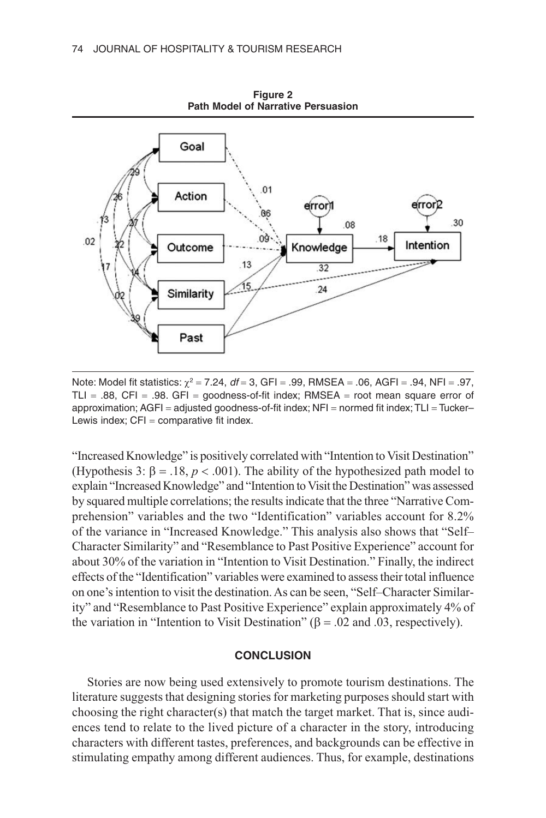

**Figure 2 Path Model of Narrative Persuasion**

Note: Model fit statistics: χ<sup>2</sup> = 7.24, *df* = 3, GFI = .99, RMSEA = .06, AGFI = .94, NFI = .97, TLI =  $.88$ , CFI =  $.98$ . GFI = goodness-of-fit index; RMSEA = root mean square error of approximation; AGFI = adjusted goodness-of-fit index; NFI = normed fit index; TLI = Tucker– Lewis index;  $CFI = \text{comparative fit index}.$ 

"Increased Knowledge" is positively correlated with "Intention to Visit Destination" (Hypothesis 3:  $\beta = .18$ ,  $p < .001$ ). The ability of the hypothesized path model to explain "Increased Knowledge" and "Intention to Visit the Destination" was assessed by squared multiple correlations; the results indicate that the three "Narrative Comprehension" variables and the two "Identification" variables account for 8.2% of the variance in "Increased Knowledge." This analysis also shows that "Self– Character Similarity" and "Resemblance to Past Positive Experience" account for about 30% of the variation in "Intention to Visit Destination." Finally, the indirect effects of the "Identification" variables were examined to assess their total influence on one's intention to visit the destination. As can be seen, "Self–Character Similarity" and "Resemblance to Past Positive Experience" explain approximately 4% of the variation in "Intention to Visit Destination" ( $\beta$  = .02 and .03, respectively).

## **CONCLUSION**

Stories are now being used extensively to promote tourism destinations. The literature suggests that designing stories for marketing purposes should start with choosing the right character(s) that match the target market. That is, since audiences tend to relate to the lived picture of a character in the story, introducing characters with different tastes, preferences, and backgrounds can be effective in stimulating empathy among different audiences. Thus, for example, destinations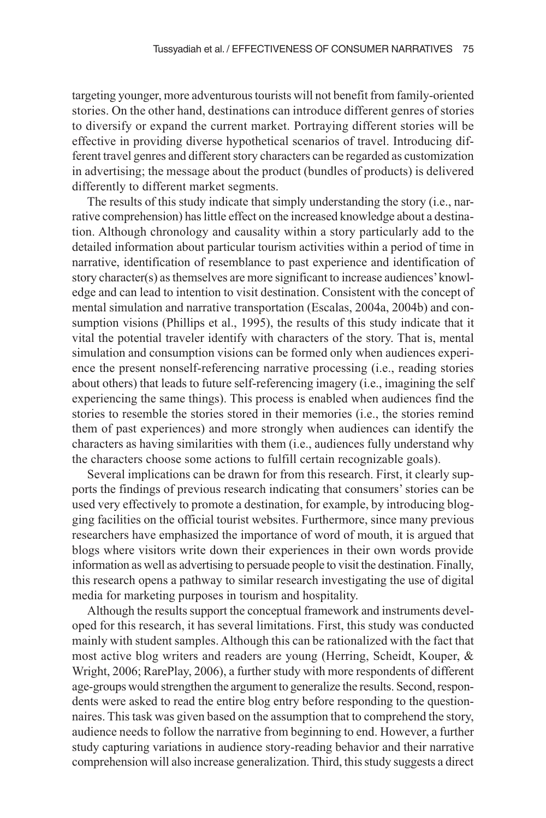targeting younger, more adventurous tourists will not benefit from family-oriented stories. On the other hand, destinations can introduce different genres of stories to diversify or expand the current market. Portraying different stories will be effective in providing diverse hypothetical scenarios of travel. Introducing different travel genres and different story characters can be regarded as customization in advertising; the message about the product (bundles of products) is delivered differently to different market segments.

The results of this study indicate that simply understanding the story (i.e., narrative comprehension) has little effect on the increased knowledge about a destination. Although chronology and causality within a story particularly add to the detailed information about particular tourism activities within a period of time in narrative, identification of resemblance to past experience and identification of story character(s) as themselves are more significant to increase audiences' knowledge and can lead to intention to visit destination. Consistent with the concept of mental simulation and narrative transportation (Escalas, 2004a, 2004b) and consumption visions (Phillips et al., 1995), the results of this study indicate that it vital the potential traveler identify with characters of the story. That is, mental simulation and consumption visions can be formed only when audiences experience the present nonself-referencing narrative processing (i.e., reading stories about others) that leads to future self-referencing imagery (i.e., imagining the self experiencing the same things). This process is enabled when audiences find the stories to resemble the stories stored in their memories (i.e., the stories remind them of past experiences) and more strongly when audiences can identify the characters as having similarities with them (i.e., audiences fully understand why the characters choose some actions to fulfill certain recognizable goals).

Several implications can be drawn for from this research. First, it clearly supports the findings of previous research indicating that consumers' stories can be used very effectively to promote a destination, for example, by introducing blogging facilities on the official tourist websites. Furthermore, since many previous researchers have emphasized the importance of word of mouth, it is argued that blogs where visitors write down their experiences in their own words provide information as well as advertising to persuade people to visit the destination. Finally, this research opens a pathway to similar research investigating the use of digital media for marketing purposes in tourism and hospitality.

Although the results support the conceptual framework and instruments developed for this research, it has several limitations. First, this study was conducted mainly with student samples. Although this can be rationalized with the fact that most active blog writers and readers are young (Herring, Scheidt, Kouper, & Wright, 2006; RarePlay, 2006), a further study with more respondents of different age-groups would strengthen the argument to generalize the results. Second, respondents were asked to read the entire blog entry before responding to the questionnaires. This task was given based on the assumption that to comprehend the story, audience needs to follow the narrative from beginning to end. However, a further study capturing variations in audience story-reading behavior and their narrative comprehension will also increase generalization. Third, this study suggests a direct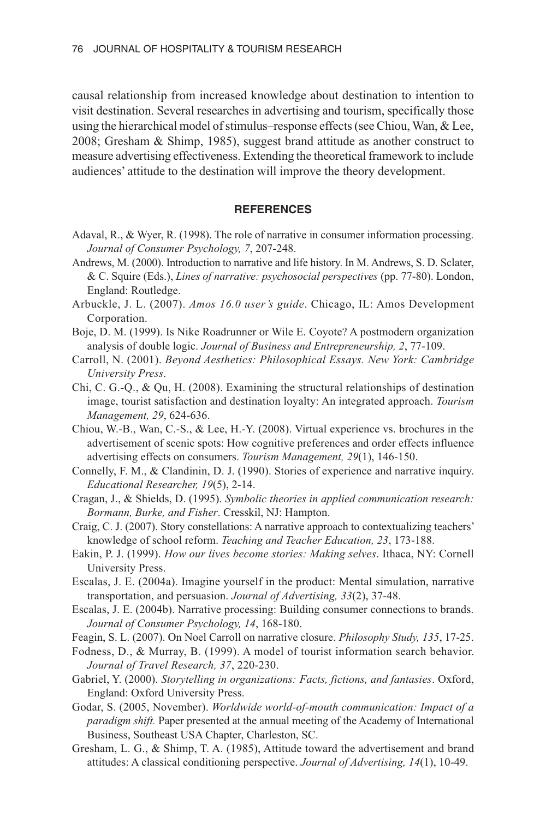causal relationship from increased knowledge about destination to intention to visit destination. Several researches in advertising and tourism, specifically those using the hierarchical model of stimulus–response effects (see Chiou, Wan, & Lee, 2008; Gresham & Shimp, 1985), suggest brand attitude as another construct to measure advertising effectiveness. Extending the theoretical framework to include audiences' attitude to the destination will improve the theory development.

#### **REFERENCES**

- Adaval, R., & Wyer, R. (1998). The role of narrative in consumer information processing. *Journal of Consumer Psychology, 7*, 207-248.
- Andrews, M. (2000). Introduction to narrative and life history. In M. Andrews, S. D. Sclater, & C. Squire (Eds.), *Lines of narrative: psychosocial perspectives* (pp. 77-80). London, England: Routledge.
- Arbuckle, J. L. (2007). *Amos 16.0 user's guide*. Chicago, IL: Amos Development Corporation.
- Boje, D. M. (1999). Is Nike Roadrunner or Wile E. Coyote? A postmodern organization analysis of double logic. *Journal of Business and Entrepreneurship, 2*, 77-109.
- Carroll, N. (2001). *Beyond Aesthetics: Philosophical Essays. New York: Cambridge University Press*.
- Chi, C. G.-Q., & Qu, H. (2008). Examining the structural relationships of destination image, tourist satisfaction and destination loyalty: An integrated approach. *Tourism Management, 29*, 624-636.
- Chiou, W.-B., Wan, C.-S., & Lee, H.-Y. (2008). Virtual experience vs. brochures in the advertisement of scenic spots: How cognitive preferences and order effects influence advertising effects on consumers. *Tourism Management, 29*(1), 146-150.
- Connelly, F. M., & Clandinin, D. J. (1990). Stories of experience and narrative inquiry. *Educational Researcher, 19*(5), 2-14.
- Cragan, J., & Shields, D. (1995). *Symbolic theories in applied communication research: Bormann, Burke, and Fisher*. Cresskil, NJ: Hampton.
- Craig, C. J. (2007). Story constellations: A narrative approach to contextualizing teachers' knowledge of school reform. *Teaching and Teacher Education, 23*, 173-188.
- Eakin, P. J. (1999). *How our lives become stories: Making selves*. Ithaca, NY: Cornell University Press.
- Escalas, J. E. (2004a). Imagine yourself in the product: Mental simulation, narrative transportation, and persuasion. *Journal of Advertising, 33*(2), 37-48.
- Escalas, J. E. (2004b). Narrative processing: Building consumer connections to brands. *Journal of Consumer Psychology, 14*, 168-180.
- Feagin, S. L. (2007). On Noel Carroll on narrative closure. *Philosophy Study, 135*, 17-25.
- Fodness, D., & Murray, B. (1999). A model of tourist information search behavior. *Journal of Travel Research, 37*, 220-230.
- Gabriel, Y. (2000). *Storytelling in organizations: Facts, fictions, and fantasies*. Oxford, England: Oxford University Press.
- Godar, S. (2005, November). *Worldwide world-of-mouth communication: Impact of a paradigm shift.* Paper presented at the annual meeting of the Academy of International Business, Southeast USA Chapter, Charleston, SC.
- Gresham, L. G., & Shimp, T. A. (1985), Attitude toward the advertisement and brand attitudes: A classical conditioning perspective. *Journal of Advertising, 14*(1), 10-49.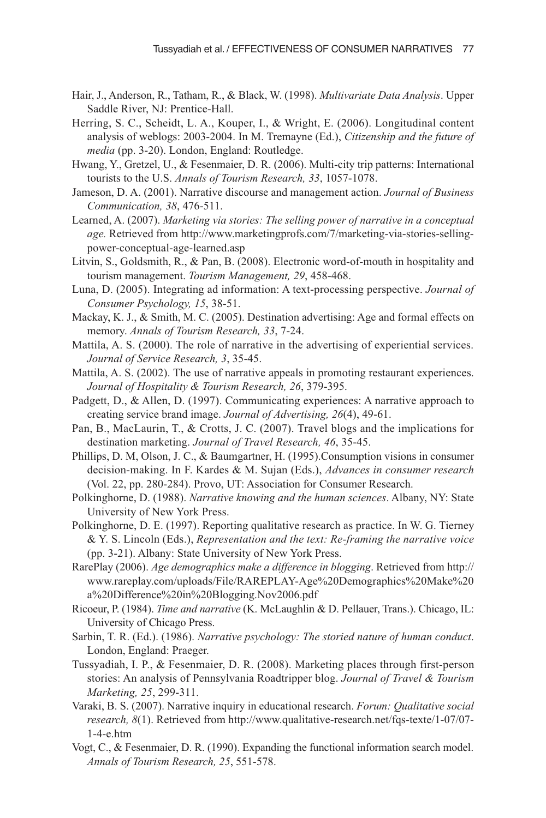- Hair, J., Anderson, R., Tatham, R., & Black, W. (1998). *Multivariate Data Analysis*. Upper Saddle River, NJ: Prentice-Hall.
- Herring, S. C., Scheidt, L. A., Kouper, I., & Wright, E. (2006). Longitudinal content analysis of weblogs: 2003-2004. In M. Tremayne (Ed.), *Citizenship and the future of media* (pp. 3-20). London, England: Routledge.
- Hwang, Y., Gretzel, U., & Fesenmaier, D. R. (2006). Multi-city trip patterns: International tourists to the U.S. *Annals of Tourism Research, 33*, 1057-1078.
- Jameson, D. A. (2001). Narrative discourse and management action. *Journal of Business Communication, 38*, 476-511.
- Learned, A. (2007). *Marketing via stories: The selling power of narrative in a conceptual age.* Retrieved from http://www.marketingprofs.com/7/marketing-via-stories-sellingpower-conceptual-age-learned.asp
- Litvin, S., Goldsmith, R., & Pan, B. (2008). Electronic word-of-mouth in hospitality and tourism management. *Tourism Management, 29*, 458-468.
- Luna, D. (2005). Integrating ad information: A text-processing perspective. *Journal of Consumer Psychology, 15*, 38-51.
- Mackay, K. J., & Smith, M. C. (2005). Destination advertising: Age and formal effects on memory. *Annals of Tourism Research, 33*, 7-24.
- Mattila, A. S. (2000). The role of narrative in the advertising of experiential services. *Journal of Service Research, 3*, 35-45.
- Mattila, A. S. (2002). The use of narrative appeals in promoting restaurant experiences. *Journal of Hospitality & Tourism Research, 26*, 379-395.
- Padgett, D., & Allen, D. (1997). Communicating experiences: A narrative approach to creating service brand image. *Journal of Advertising, 26*(4), 49-61.
- Pan, B., MacLaurin, T., & Crotts, J. C. (2007). Travel blogs and the implications for destination marketing. *Journal of Travel Research, 46*, 35-45.
- Phillips, D. M, Olson, J. C., & Baumgartner, H. (1995).Consumption visions in consumer decision-making. In F. Kardes & M. Sujan (Eds.), *Advances in consumer research* (Vol. 22, pp. 280-284). Provo, UT: Association for Consumer Research.
- Polkinghorne, D. (1988). *Narrative knowing and the human sciences*. Albany, NY: State University of New York Press.
- Polkinghorne, D. E. (1997). Reporting qualitative research as practice. In W. G. Tierney & Y. S. Lincoln (Eds.), *Representation and the text: Re-framing the narrative voice* (pp. 3-21). Albany: State University of New York Press.
- RarePlay (2006). *Age demographics make a difference in blogging*. Retrieved from http:// www.rareplay.com/uploads/File/RAREPLAY-Age%20Demographics%20Make%20 a%20Difference%20in%20Blogging.Nov2006.pdf
- Ricoeur, P. (1984). *Time and narrative* (K. McLaughlin & D. Pellauer, Trans.). Chicago, IL: University of Chicago Press.
- Sarbin, T. R. (Ed.). (1986). *Narrative psychology: The storied nature of human conduct*. London, England: Praeger.
- Tussyadiah, I. P., & Fesenmaier, D. R. (2008). Marketing places through first-person stories: An analysis of Pennsylvania Roadtripper blog. *Journal of Travel & Tourism Marketing, 25*, 299-311.
- Varaki, B. S. (2007). Narrative inquiry in educational research. *Forum: Qualitative social research, 8*(1). Retrieved from http://www.qualitative-research.net/fqs-texte/1-07/07- 1-4-e.htm
- Vogt, C., & Fesenmaier, D. R. (1990). Expanding the functional information search model. *Annals of Tourism Research, 25*, 551-578.